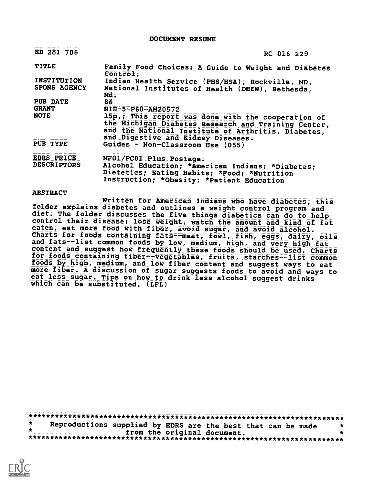DOCUMENT RESUME

| ED 281 706                         | RC 016 229                                                                                                                                                                                            |  |
|------------------------------------|-------------------------------------------------------------------------------------------------------------------------------------------------------------------------------------------------------|--|
| TITLE                              | Family Food Choices: A Guide to Weight and Diabetes<br>$\epsilon$ ontro $\pm$ .                                                                                                                       |  |
| <b>INSTITUTION</b><br>SPONS AGENCY | Indian Health Service (PHS/HSA), Rockville, MD.<br>National institutes of Health (DHEW), Bethesda,<br>Md.                                                                                             |  |
| <b>PUB DATE</b>                    | 86                                                                                                                                                                                                    |  |
| <b>GRANT</b>                       | NIH-5-P60-AM20572                                                                                                                                                                                     |  |
| NOTE                               | 15p.; This report was done with the cooperation of<br>the Michigan Diabetes Research and Training Center,<br>and the National Institute of Arthritis, Diabetes,<br>and Digestive and Ridney Diseases. |  |
| <b>PUB TYPE</b>                    | Guides - Non-Classroom Use (055)                                                                                                                                                                      |  |
| <b>EDRS PRICE</b>                  | MF01/PC01 Plus Postage.                                                                                                                                                                               |  |
| <b>DESCRIPTORS</b>                 | Alcohol Education; *American Indians; *Diabetes;<br>Dietetics; Eating Habits; *Food; *Nutrition<br>Instruction; *Obesity; *Patient Education                                                          |  |

ABSTRACT

Written for American Indians who have diabetes, this folder explains diabetes and outlines a weight control program and diet. The folder discusses the five things diabetics can do to help control their disease: lose weight, watch the amount and kind of fat eaten, eat more food with fiber, avoid sugar, and avoid alcohol. Charts for foods containing fats--meat, fowl, fish, eggs, dairy, oils and fats--list common foods by low, medium, high, and very high fat content and suggest how frequently these foods should be used. Charts for foods containing fiber--vegetables, fruits, starches--list common foods by high, medium, and low fiber content and suggest ways to eat more fiber. A discussion of sugar suggests foods to avoid and ways to eat less sugar. Tips on how to drink less alcohol suggest drinks which can be substituted. (LFL)

\*\*\*\*\*\*\*\*\*\*\*\*\*\*\*\*\*\*\*\*\*\*\*\*\*\*\*\*\*\*\*\*\*\*\*\*\*\*\*\*\*\*\*\*\*\*\*\*\*\*\*\*\*\*\*\*\*\*\*\*\*\*\*\*\*\*\*\*\*\*\* Reproductions supplied by EDRS are the best that can be made the from the original document. from the original document. \*\*\*\*\*\*\*\*\*\*\*\*\*\*\*\*\*\*\*\*\*\*\*\*\*\*\*\*\*\*\*\*\*\*\*\*\*\*\*\*\*\*\*\*\*\*\*\*\*\*\*\*\*\*\*\*\*\*\*\*\*\*\*\*\*\*\*\*\*\*\*

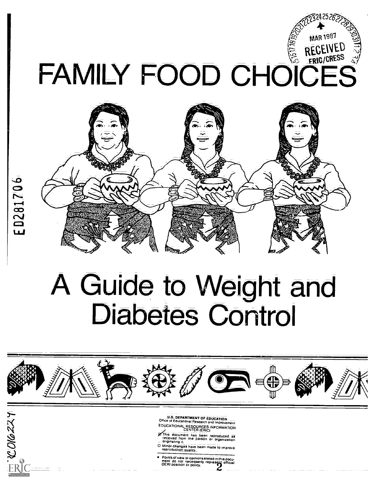## $\mathbb{Z}^{324}$  $25.622$  $\mathcal{P}$  and  $\mathcal{P}$ RECEIVED FAMILY FOOD CHOICES



# A Guide to Weight and Diabetes Control



ED281706

- U.S. DEPARTMENT OF EDUCATION<br>Office of Educational Research and Improvement
- EDUCATIONAL RESOURCES INFORMATION CENTER (ERIC)
- ong This document has been reproduced as<br>received from the person or organization<br>- originating it.
- D Minor changes have been made to improve
- Paints of view or opinions stated in this docu-<br>ment do not necessarily represent official<br>OERI position or policy.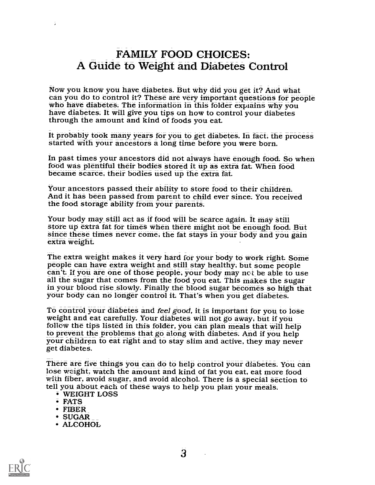#### FAMILY FOOD CHOICES: A Guide to Weight and Diabetes Control

Now you know you have diabetes. But why did you get it? And what can you do to control it? These are very important questions for people who have diabetes. The information in this folder explains why you have diabetes. It will give you tips on how to control your diabetes through the amount and kind of foods you eat

It probably took many years for you to get diabetes. In fact, the process started with your ancestors a long time before you were born.

In past times your ancestors did not always have enough food. So when food was plentiful their bodies stored it up as extra fat When food became scarce, their bodies used up the extra fat.

Your ancestors passed their ability to store food to their children. And it has been passed from parent to child ever since. You received the food storage ability from your parents.

Your body may still act as if food will be scarce again. It may still<br>store up extra fat for times when there might not be enough food. But<br>since these times never come, the fat stays in your body and you gain extra weight.

The extra weight makes it very hard for your body to work right. Some<br>people can have extra weight and still stay healthy, but some people<br>can't. If you are one of those people, your body may not be able to use<br>all the sug your body can no longer control it. That's when you get diabetes.

To control your diabetes and *feel good*, it is important for you to lose weight and eat carefully. Your diabetes will not go away, but if you follow the tips listed in this folder, you can plan meals that will help your children to eat right and to stay slim and active, they may never get diabetes.

There are five things you can do to help control your diabetes. You can lose weight, watch the amount and kind of fat you eat, eat more food with fiber, avoid sugar, and avoid alcohol. There is a special section to tell you about each of these ways to help you plan your meals.<br>WEIGHT LOSS

- 
- FATS

÷

- FIBER
- SUGAR
- ALCOHOL



3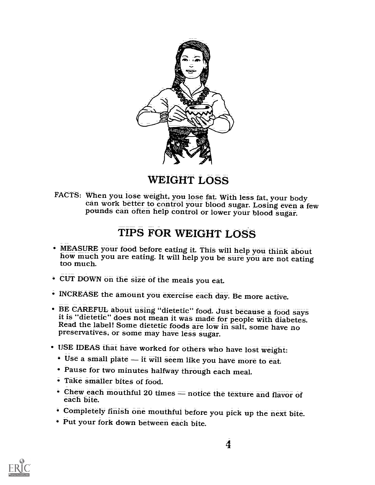

WEIGHT LOSS

FACTS: When you lose weight, you lose fat. With less fat, your body<br>can work better to control your blood sugar. Losing even a few pounds can often help control or lower your blood sugar.

### TIPS FOR WEIGHT LOSS

- MEASURE your food before eating it. This will help you think about how much you are eating. It will help you be sure you are not eating too much.
- CUT DOWN on the size of the meals you eat.
- INCREASE the amount you exercise each day. Be more active.
- BE CAREFUL about using "dietetic" food. Just because a food says it is "dietetic" does not mean it was made for people with diabetes.<br>Read the label! Some dietetic foods are low in salt, some have no<br>preservatives, or so
- USE IDEAS that have worked for others who have lost weight:
	- $\bullet$  Use a small plate  $\overline{-}$  it will seem like you have more to eat.
	- Pause for two minutes halfway through each meal.
	- Take smaller bites of food.
	- Chew each mouthful 20 times = notice the texture and flavor of each bite.
	- Completely finish one mouthful before you pick up the next bite.
	- Put your fork down between each bite.

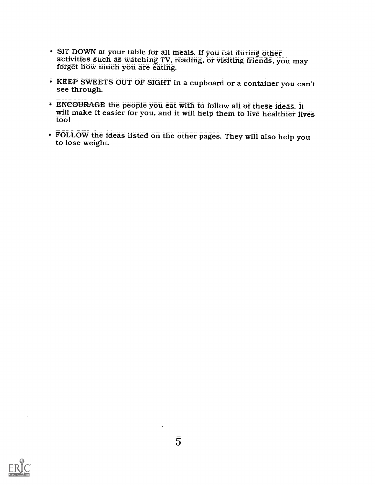- SIT DOWN at your table for all meals. If you eat during other activities such as watching TV, reading, or visiting friends, you may forget how much you are eating.
- KEEP SWEETS OUT OF SIGHT in a cupboard or a container you can't see through.
- **ENCOURAGE** the people you eat with to follow all of these ideas. It will make it easier for you, and it will help them to live healthier lives too!
- FOLLOW the ideas listed on the other pages. They will also help you to lose weight

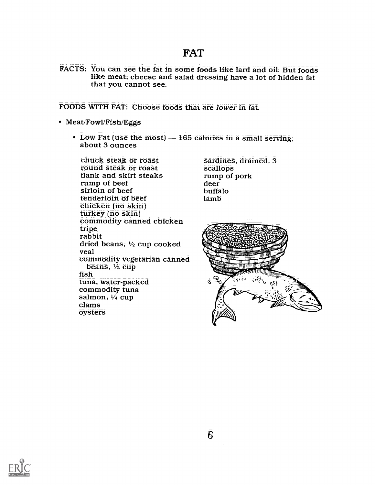#### FAT

FACTS: You can see the fat in some foods like lard and oil. But foods like meat, cheese and salad dressing have a lot of hidden fat that you cannot see.

FOODS WITH FAT: Choose foods that are lower in fat

- Meat/Fowl/Fish/Eggs
	- $\cdot$  Low Fat (use the most)  $-165$  calories in a small serving, about 3 ounces

chuck steak or roast round steak or roast flank and skirt steaks<br>rump of beef sirloin of beef tenderloin of beef chicken (no skin)<br>turkey (no skin) commodity canned chicken tripe rabbit dried beans, 1/2 cup cooked veal commodity vegetarian canned beans, V<sub>2</sub> cup fish tuna, water-packed commodity tuna salmon, V<sub>4</sub> cup clams oysters

sardines, drained, 3 scallops rump of pork deer buffalo lamb



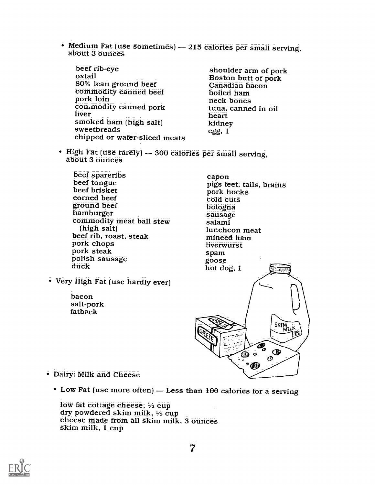• Medium Fat (use sometimes) - 215 calories per small serving, about 3 ounces

beef rib-eye<br>oxtail<br>80% lean ground beef commodity canned beef<br>pork loin commodity canned pork liver smoked ham (high salt) sweetbreads chipped or wafer-sliced meats

shoulder arm of pork Boston butt of pork Canadian bacon boiled ham neck bones tuna, canned in oil heart kidney egg, 1

- High Fat (use rarely) -- 300 calories per small serving, about 3 ounces
	- beef spareribs beef tongue beef brisket corned beef<br>ground beef eorned beef<br>ground beef bologna<br>hamburger bologna<br>commodity meat ball stew salami<br>(high salt) luncheon beef rib, roast, steak<br>pork chops<br>pork steak polish sausage duck
- Very High Fat (use hardly ever)
	- bacon salt-pork fatback



- Dairy: Milk and Cheese
	- $\cdot$  Low Fat (use more often)  $-$  Less than 100 calories for a serving

low fat cottage cheese,  $\frac{1}{2}$  cup dry powdered skim milk, 1/3 cup cheese made from all skim milk, 3 ounces skim milk, 1 cup

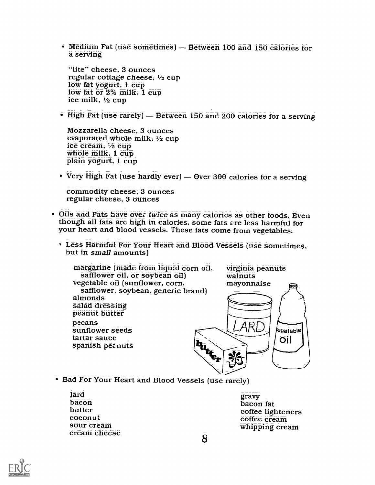$\bullet$  Medium Fat (use sometimes) - Between 100 and 150 calories for a serving

"lite" cheese, 3 ounces regular cottage cheese, 1/2 cup low fat yogurt, 1 cup low fat or 2% milk, 1 cup ice milk,  $\frac{1}{2}$  cup

 $\bullet$  High Fat (use rarely)  $-$  Between 150 and 200 calories for a serving

Mozzarella cheese, 3 ounces evaporated whole milk, 1/2 cup ice cream, <sup>1</sup>/2 cup<br>whole milk, 1 cup<br>plain yogurt, 1 cup

 $\bullet$  Very High Fat (use hardly ever) — Over 300 calories for a serving

commodity cheese, 3 ounces regular cheese, 3 ounces

- Oils and Fats have over twice as many calories as other foods. Even though all fats arc high in calories, some fats are less harmful for your heart and blood vessels. These fats come from vegetables.
	- U. Less Harmful For Your Heart and Blood Vessels (use sometimes, but in small amounts)

margarine (made from liquid corn oil, virginia peanuts<br>safflower oil, or soybean oil) walnuts<br>vegetable oil (sunflower, corn, mayonnaise vegetable oil (sunflower, corn, safflower, soybean, generic brand) almonds salad dressing<br>peanut butter pecans R sunflower seeds egetable tartar sauce **Hutter** Öil spanish pez nuts

- Bad For Your Heart and Blood Vessels (use rarely)
	- lard bacon butter coconut sour cream cream cheese

gravy<br>bacon fat coffee lighteners coffee cream whipping cream

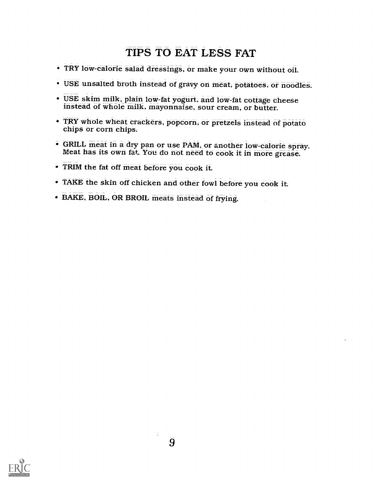## TIPS TO EAT LESS FAT

- TRY low-calorie salad dressings, or make your own without oil.
- USE unsalted broth instead of gravy on meat, potatoes, or noodles.
- USE skim milk, plain low-fat yogurt, and low-fat cottage cheese instead of whole milk, mayonnaise, sour cream, or butter.
- TRY whole wheat crackers, popcorn, or pretzels instead of potato chips or corn chips.
- GRILL meat in a dry pan or use PAM, or another low-calorie spray. Meat has its own fat. You do not need to cook it in more grease.
- TRIM the fat off meat before you cook it.
- TAKE the skin off chicken and other fowl before you cook it
- BAKE, BOIL, OR BROIL meats instead of frying.

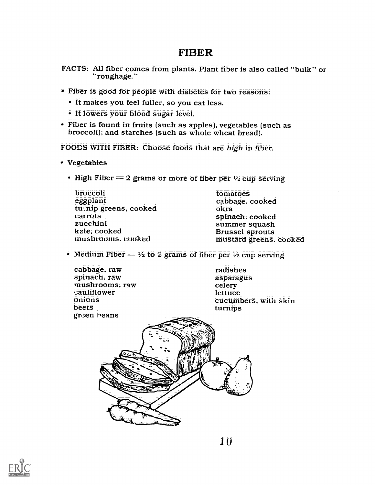#### FIBER

FACTS: All fiber comes from plants. Plant fiber is also called "bulk" or "roughage."

- Fiber is good for people with diabetes for two reasons:
	- It makes you feel fuller, so you eat less.
	- It lowers your blood sugar level.
- Fiber is found in fruits (such as apples), vegetables (such as broccoli), and starches (such as whole wheat bread).

FOODS WITH FIBER: Choose foods that are high in fiber.

- Vegetables
	- $\bullet$  High Fiber  $=$  2 grams or more of fiber per  $\frac{1}{2}$  cup serving

| tomatoes               |  |
|------------------------|--|
| cabbage, cooked        |  |
| okrā                   |  |
| spinach, cooked        |  |
| summer squash          |  |
| Brussel sprouts        |  |
| mustard greens. cooked |  |
|                        |  |

• Medium Fiber  $-$  1/2 to 2 grams of fiber per 1/2 cup serving

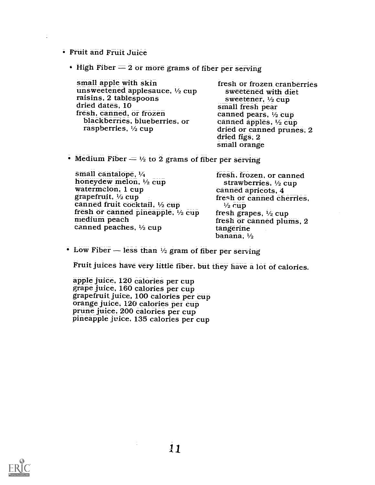Fruit and Fruit Juice

 $\ddot{\phantom{a}}$ 

 $\cdot$  High Fiber  $=$  2 or more grams of fiber per serving

| small apple with skin                                                                       | fresh or frozen cranberries                                                                   |
|---------------------------------------------------------------------------------------------|-----------------------------------------------------------------------------------------------|
| unsweetened applesauce, 1/2 cup                                                             | sweetened with diet                                                                           |
| raisins, 2 tablespoons                                                                      | sweetener, $\frac{1}{2}$ cup                                                                  |
| dried dates, 10                                                                             | small fresh pear                                                                              |
| fresh, canned, or frozen<br>blackberries, blueberries, or<br>raspberries, $\frac{1}{2}$ cup | canned pears, 1/2 cup<br>canned apples, 1/2 cup<br>dried or canned prunes, 2<br>dried figs, 2 |

small orange

 $\bullet$  Medium Fiber  $=$  1/2 to 2 grams of fiber per serving

| small cantalope, 1/4<br>honeydew melon, $\frac{1}{2}$ cup | fresh, frozen, or canned<br>strawberries, 1/2 cup |
|-----------------------------------------------------------|---------------------------------------------------|
| watermelon, 1 cup                                         | canned apricots, 4                                |
| grapefruit, 1/2 cup                                       | fresh or canned cherries,                         |
| canned fruit cocktail, 1/2 cup                            | $\frac{1}{2}$ cup                                 |
| fresh or canned pineapple, $\frac{1}{2}$ cup              | fresh grapes, $\frac{1}{2}$ cup                   |
| medium peach                                              | fresh or canned plums, 2                          |
| canned peaches, 1/2 cup                                   | tangerine                                         |
|                                                           | banana, $\frac{1}{2}$                             |

 $\bullet$  Low Fiber - less than  $\frac{1}{2}$  gram of fiber per serving

Fruit juices have very little fiber, but they have a lot of calories.

apple juice, 120 calories per cup grape juice, 160 calories per cup grapefruit juice, 100 calories per cup orange juice, 120 calories per cup prune juice, 200 calories per cup pineapple juice, 135 calories per cup

 $\ddot{\cdot}$ 

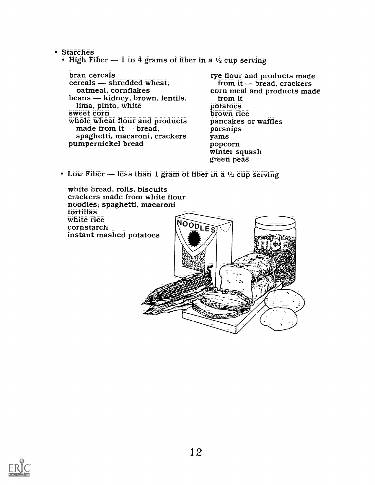• Starches

• High Fiber  $-1$  to 4 grams of fiber in a  $\frac{1}{2}$  cup serving

bran cereals<br>cereals — shredded wheat. oatmeal, cornflakes<br>beans  $=$  kidney, brown, lentils, lima, pinto, white sweet corn whole wheat flour and products pancakes<br>made from it = bread, parsnips<br>spaghetti, macaroni, crackers yams<br>pumpernickel bread popcorn

rye flour and products made<br>from it - bread, crackers corn meal and products made from it<br>potatoes brown rice pancakes or waffles yams winter squash green peas

 $\bullet$  Low Fiber — less than 1 gram of fiber in a  $\frac{1}{2}$  cup serving



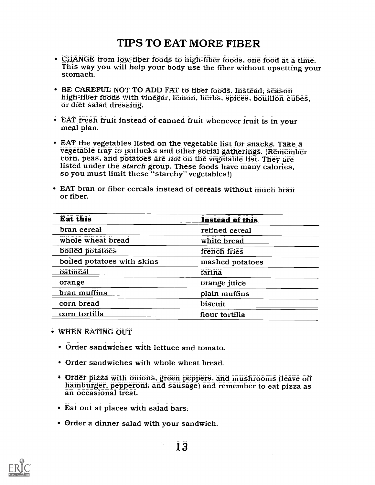#### TIPS TO EAT MORE FIBER

- CHANGE from low-fiber foods to high-fiber foods, one food at a time. This way you will help your body use the fiber without upsetting your stomach.
- BE CAREFUL NOT TO ADD FAT to fiber foods. Instead, season high:fiber foods with vinegar, lemon, herbs, spices, bouillon cubes, or diet salad dressing.
- EAT fresh fruit instead of canned fruit whenever fruit is in your meal plan.
- EAT the vegetables listed on the vegetable list for snacks. Take a<br>vegetable tray to potlucks and other social gatherings. (Remember corn, peas, and potatoes are not on the vegetable list. They are listed under the *starch* group. These foods have many calories, so you must limit these "starchy" vegetables!)
- EAT bran or fiber cereals instead of cereals without much bran or fiber.

| <b>Eat this</b>            | <b>Instead of this</b> |
|----------------------------|------------------------|
| bran cereal                | refined cereal         |
| whole wheat bread          | white bread            |
| boiled potatoes            | french fries           |
| boiled potatoes with skins | mashed potatoes        |
| oatmeal                    | farina                 |
| orange                     | orange juice           |
| bran muffins               | plain muffins          |
| corn bread                 | biscuit                |
| corn tortilla              | flour tortilla         |

- WHEN EATING OUT
	- Order sandwiches with lettuce and tomato.
	- Order sandwiches with whole wheat bread.
	- Order pizza with onions, green peppers, and mushrooms (leave off hamburger, pepperoni, and sausage) and remember to eat pizza as an occasional treat.
	- Eat out at places with salad bars.
	- Order a dinner salad with your sandwich.

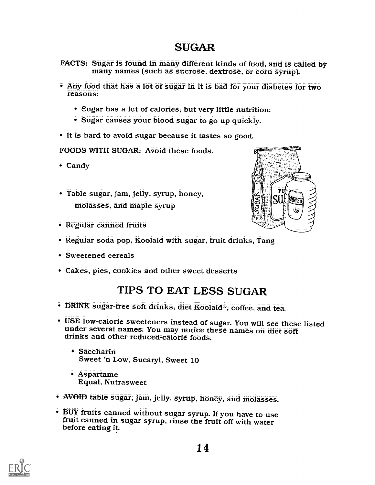#### SUGAR

- FACTS: Sugar is found in many different kinds of food, and is called by many names (such as sucrose, dextrose, or corn syrup).
- Any food that has a lot of sugar in it is bad for your diabetes for two reasons:
	- Sugar has a lot of calories, but very little nutrition.
	- Sugar causes your blood sugar to go up quickly.
- It is hard to avoid sugar because it tastes so good.

FOODS WITH SUGAR: Avoid these foods.

- Candy
- Table sugar, jam, jelly, syrup, honey, molasses, and maple syrup
- Regular canned fruits



- Sweetened cereals
- Cakes, pies, cookies and other sweet desserts

#### TIPS TO EAT LESS SUGAR

- DRINK sugar-free soft drinks, diet Koolaid®, coffee, and tea.
- USE low-calorie sweeteners instead of sugar. You will see these listed under several names. You may notice these names on diet soft drinks and other reduced-calorie foods.
	- Saccharin Sweet 'n Low, Sucaryl, Sweet 10
	- Aspartame<br>Equal, Nutrasweet
- AVOID table sugar, jam, jelly, syrup, honey, and molasses.
- BUY fruits canned without sugar syrup. If you have to use fruit canned in sugar syntp, rinse the fruit off with water before eating it.



PU SU